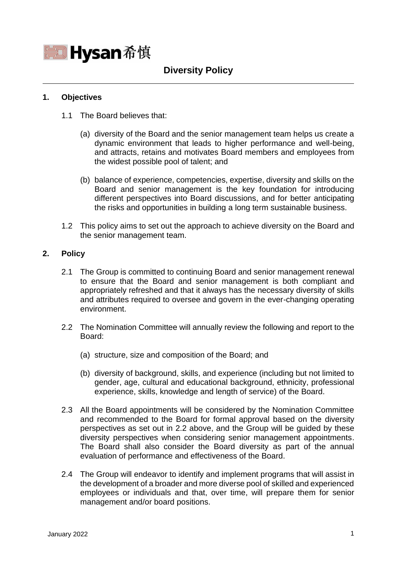

# **Diversity Policy**

## **1. Objectives**

- 1.1 The Board believes that:
	- (a) diversity of the Board and the senior management team helps us create a dynamic environment that leads to higher performance and well-being, and attracts, retains and motivates Board members and employees from the widest possible pool of talent; and
	- (b) balance of experience, competencies, expertise, diversity and skills on the Board and senior management is the key foundation for introducing different perspectives into Board discussions, and for better anticipating the risks and opportunities in building a long term sustainable business.
- 1.2 This policy aims to set out the approach to achieve diversity on the Board and the senior management team.

## **2. Policy**

- 2.1 The Group is committed to continuing Board and senior management renewal to ensure that the Board and senior management is both compliant and appropriately refreshed and that it always has the necessary diversity of skills and attributes required to oversee and govern in the ever-changing operating environment.
- 2.2 The Nomination Committee will annually review the following and report to the Board:
	- (a) structure, size and composition of the Board; and
	- (b) diversity of background, skills, and experience (including but not limited to gender, age, cultural and educational background, ethnicity, professional experience, skills, knowledge and length of service) of the Board.
- 2.3 All the Board appointments will be considered by the Nomination Committee and recommended to the Board for formal approval based on the diversity perspectives as set out in 2.2 above, and the Group will be guided by these diversity perspectives when considering senior management appointments. The Board shall also consider the Board diversity as part of the annual evaluation of performance and effectiveness of the Board.
- 2.4 The Group will endeavor to identify and implement programs that will assist in the development of a broader and more diverse pool of skilled and experienced employees or individuals and that, over time, will prepare them for senior management and/or board positions.